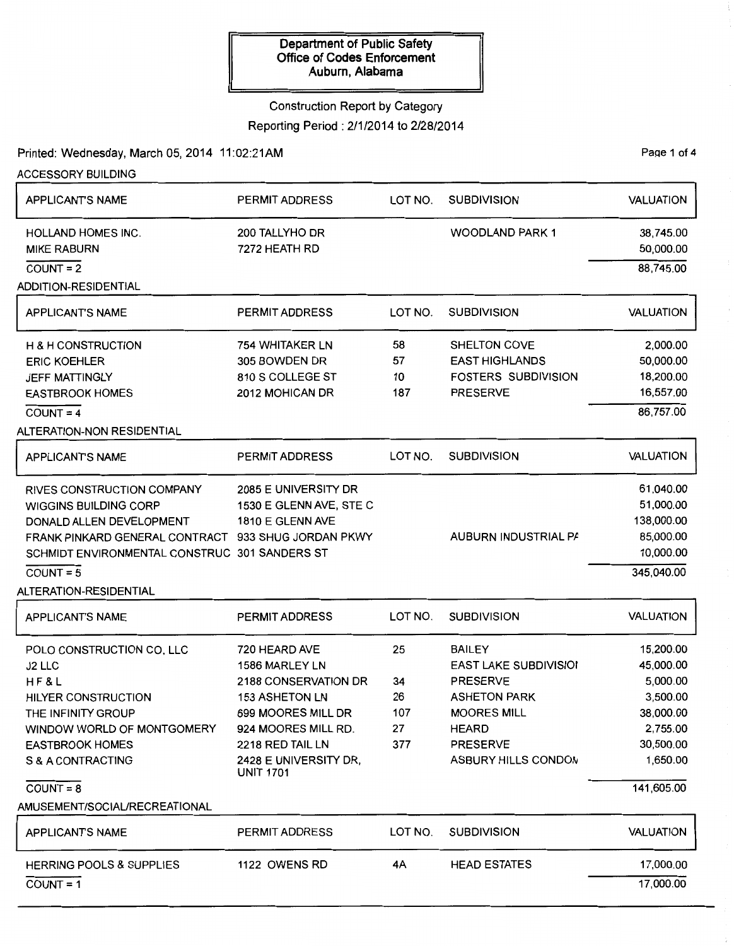# Construction Report by Category

Reporting Period: 2/1/2014 to 2/28/2014

Printed: Wednesday, March 05, 2014 11:02:21AM Page 1 of 4

ACCESSORY BUILDING

| <b>APPLICANT'S NAME</b>                             | <b>PERMIT ADDRESS</b>                     | LOT NO. | <b>SUBDIVISION</b>           | <b>VALUATION</b> |
|-----------------------------------------------------|-------------------------------------------|---------|------------------------------|------------------|
| <b>HOLLAND HOMES INC.</b>                           | 200 TALLYHO DR                            |         | <b>WOODLAND PARK 1</b>       | 38,745.00        |
| <b>MIKE RABURN</b>                                  | 7272 HEATH RD                             |         |                              | 50,000.00        |
| $COUNT = 2$                                         |                                           |         |                              | 88,745.00        |
| <b>ADDITION-RESIDENTIAL</b>                         |                                           |         |                              |                  |
| <b>APPLICANT'S NAME</b>                             | <b>PERMIT ADDRESS</b>                     | LOT NO. | <b>SUBDIVISION</b>           | <b>VALUATION</b> |
| <b>H &amp; H CONSTRUCTION</b>                       | 754 WHITAKER LN                           | 58      | SHELTON COVE                 | 2,000.00         |
| <b>ERIC KOEHLER</b>                                 | 305 BOWDEN DR                             | 57      | <b>EAST HIGHLANDS</b>        | 50,000.00        |
| JEFF MATTINGLY                                      | 810 S COLLEGE ST                          | 10      | <b>FOSTERS SUBDIVISION</b>   | 18,200.00        |
| <b>EASTBROOK HOMES</b>                              | 2012 MOHICAN DR                           | 187     | <b>PRESERVE</b>              | 16,557.00        |
| $COUNT = 4$                                         |                                           |         |                              | 86,757.00        |
| ALTERATION-NON RESIDENTIAL                          |                                           |         |                              |                  |
| <b>APPLICANT'S NAME</b>                             | <b>PERMIT ADDRESS</b>                     | LOT NO. | <b>SUBDIVISION</b>           | <b>VALUATION</b> |
| RIVES CONSTRUCTION COMPANY                          | 2085 E UNIVERSITY DR                      |         |                              | 61,040.00        |
| <b>WIGGINS BUILDING CORP</b>                        | 1530 E GLENN AVE, STE C                   |         |                              | 51,000.00        |
| DONALD ALLEN DEVELOPMENT                            | 1810 E GLENN AVE                          |         |                              | 138,000.00       |
| FRANK PINKARD GENERAL CONTRACT 933 SHUG JORDAN PKWY |                                           |         | AUBURN INDUSTRIAL PA         | 85,000.00        |
| SCHMIDT ENVIRONMENTAL CONSTRUC 301 SANDERS ST       |                                           |         |                              | 10,000.00        |
| $COUNT = 5$                                         |                                           |         |                              | 345,040.00       |
| ALTERATION-RESIDENTIAL                              |                                           |         |                              |                  |
| <b>APPLICANT'S NAME</b>                             | PERMIT ADDRESS                            | LOT NO. | <b>SUBDIVISION</b>           | <b>VALUATION</b> |
| POLO CONSTRUCTION CO, LLC                           | 720 HEARD AVE                             | 25      | <b>BAILEY</b>                | 15,200.00        |
| J2 LLC                                              | 1586 MARLEY LN                            |         | <b>EAST LAKE SUBDIVISION</b> | 45,000.00        |
| HF&L                                                | 2188 CONSERVATION DR                      | 34      | <b>PRESERVE</b>              | 5,000.00         |
| <b>HILYER CONSTRUCTION</b>                          | 153 ASHETON LN                            | 26      | <b>ASHETON PARK</b>          | 3,500.00         |
| THE INFINITY GROUP                                  | 699 MOORES MILL DR                        | 107     | <b>MOORES MILL</b>           | 38,000.00        |
| WINDOW WORLD OF MONTGOMERY                          | 924 MOORES MILL RD.                       | 27      | <b>HEARD</b>                 | 2,755.00         |
| <b>EASTBROOK HOMES</b>                              | 2218 RED TAIL LN                          | 377     | <b>PRESERVE</b>              | 30,500.00        |
| S & A CONTRACTING                                   | 2428 E UNIVERSITY DR,<br><b>UNIT 1701</b> |         | ASBURY HILLS CONDON          | 1,650.00         |
| $COUNT = 8$                                         |                                           |         |                              | 141,605.00       |
| AMUSEMENT/SOCIAL/RECREATIONAL                       |                                           |         |                              |                  |
| <b>APPLICANT'S NAME</b>                             | <b>PERMIT ADDRESS</b>                     | LOT NO. | <b>SUBDIVISION</b>           | <b>VALUATION</b> |
| <b>HERRING POOLS &amp; SUPPLIES</b>                 | 1122 OWENS RD                             | 4A      | <b>HEAD ESTATES</b>          | 17,000.00        |
| $COUNT = 1$                                         |                                           |         |                              | 17,000.00        |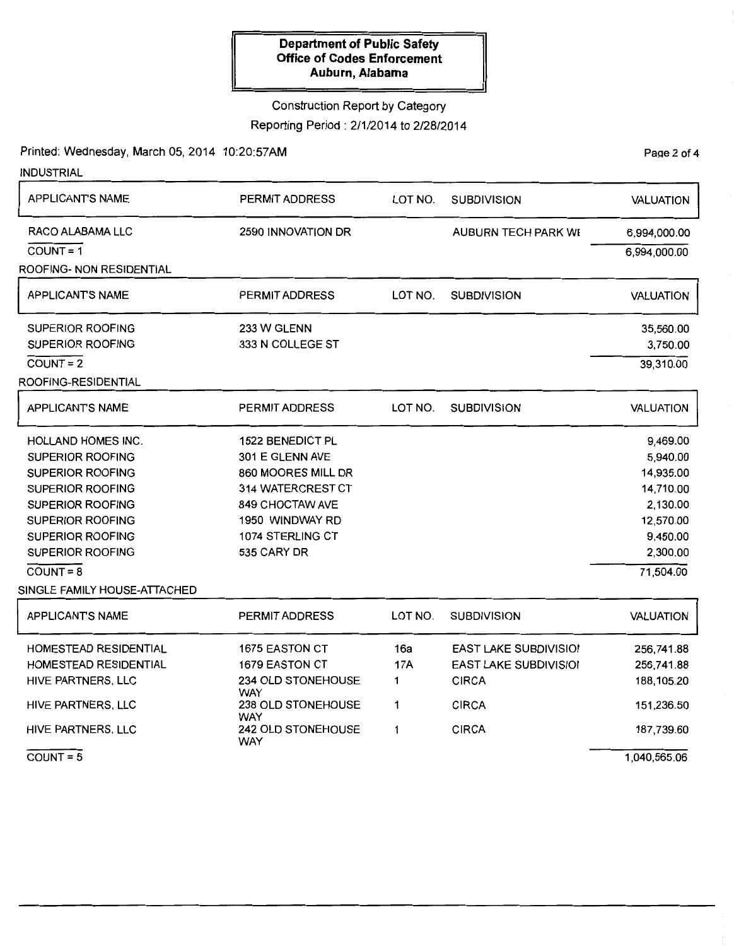## Construction Report by Category

Reporting Period: 2/1/2014 to 2/28/2014

Printed: Wednesday, March 05, 2014 10:20:57AM

| <b>INDUSTRIAL</b>            |                                                        |            |                              |                  |
|------------------------------|--------------------------------------------------------|------------|------------------------------|------------------|
| <b>APPLICANT'S NAME</b>      | <b>PERMIT ADDRESS</b><br>LOT NO.<br><b>SUBDIVISION</b> |            |                              | <b>VALUATION</b> |
| RACO ALABAMA LLC             | 2590 INNOVATION DR<br>AUBURN TECH PARK WE              |            |                              | 6,994,000.00     |
| $COUNT = 1$                  |                                                        |            |                              | 6,994,000.00     |
| ROOFING- NON RESIDENTIAL     |                                                        |            |                              |                  |
| <b>APPLICANTS NAME</b>       | LOT NO.<br><b>PERMIT ADDRESS</b><br><b>SUBDIVISION</b> |            |                              | VALUATION        |
| <b>SUPERIOR ROOFING</b>      | 233 W GLENN                                            |            |                              | 35,560.00        |
| SUPERIOR ROOFING             | 333 N COLLEGE ST                                       | 3,750.00   |                              |                  |
| $COUNT = 2$                  |                                                        |            |                              | 39,310.00        |
| ROOFING-RESIDENTIAL          |                                                        |            |                              |                  |
| <b>APPLICANTS NAME</b>       | <b>PERMIT ADDRESS</b>                                  | LOT NO.    | <b>SUBDIVISION</b>           | VALUATION        |
| <b>HOLLAND HOMES INC.</b>    | <b>1522 BENEDICT PL</b>                                |            |                              | 9,469.00         |
| <b>SUPERIOR ROOFING</b>      | 301 E GLENN AVE                                        |            |                              | 5,940.00         |
| <b>SUPERIOR ROOFING</b>      | 860 MOORES MILL DR                                     |            |                              | 14,935.00        |
| <b>SUPERIOR ROOFING</b>      | 314 WATERCREST CT                                      |            |                              | 14,710.00        |
| <b>SUPERIOR ROOFING</b>      | 849 CHOCTAW AVE                                        |            |                              | 2,130.00         |
| <b>SUPERIOR ROOFING</b>      | 1950 WINDWAY RD                                        |            |                              | 12,570.00        |
| <b>SUPERIOR ROOFING</b>      | 1074 STERLING CT                                       |            |                              | 9,450.00         |
| <b>SUPERIOR ROOFING</b>      | 535 CARY DR                                            |            |                              | 2,300.00         |
| $COUNT = 8$                  |                                                        |            |                              | 71,504.00        |
| SINGLE FAMILY HOUSE-ATTACHED |                                                        |            |                              |                  |
| <b>APPLICANTS NAME</b>       | <b>PERMIT ADDRESS</b>                                  | LOT NO.    | <b>SUBDIVISION</b>           | <b>VALUATION</b> |
| HOMESTEAD RESIDENTIAL        | 1675 EASTON CT                                         | 16a        | <b>EAST LAKE SUBDIVISIO!</b> | 256,741.88       |
| <b>HOMESTEAD RESIDENTIAL</b> | <b>1679 EASTON CT</b>                                  | <b>17A</b> | <b>EAST LAKE SUBDIVISIOI</b> | 256,741.88       |
| HIVE PARTNERS, LLC           | 234 OLD STONEHOUSE<br><b>WAY</b>                       | 1          | <b>CIRCA</b>                 | 188,105.20       |
| HIVE PARTNERS, LLC           | 238 OLD STONEHOUSE<br>WAY                              | 1          | <b>CIRCA</b>                 | 151,236.50       |

CIRCA

1

242 OLD STONEHOUSE

WAY

Page 2 of 4

187,739.60

1 ,040,565.06

 $COUNT = 5$ 

HIVE PARTNERS, LLC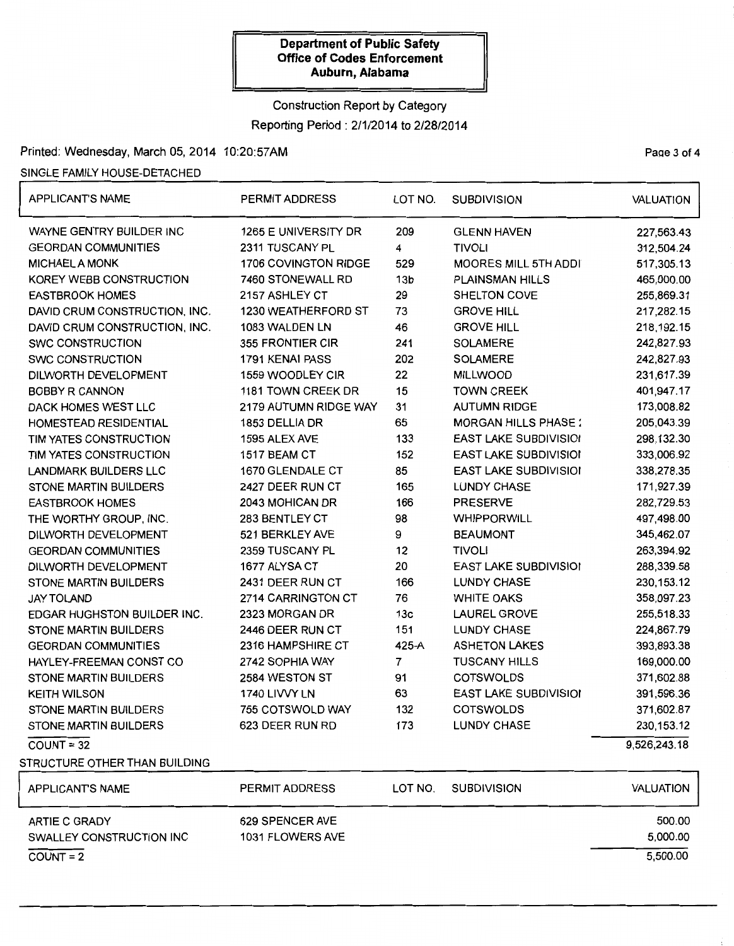## Construction Report by Category Reporting Period: 2/1/2014 to 2/28/2014

## Printed: Wednesday, March 05, 2014 10:20:57AM Page 3 of 4

#### SINGLE FAMILY HOUSE-DETACHED

| <b>APPLICANT'S NAME</b>            | PERMIT ADDRESS        | LOT NO.                 | <b>SUBDIVISION</b>           | <b>VALUATION</b> |  |
|------------------------------------|-----------------------|-------------------------|------------------------------|------------------|--|
| WAYNE GENTRY BUILDER INC           | 1265 E UNIVERSITY DR  | 209                     | <b>GLENN HAVEN</b>           | 227,563.43       |  |
| <b>GEORDAN COMMUNITIES</b>         | 2311 TUSCANY PL       | 4                       | <b>TIVOLI</b>                | 312,504.24       |  |
| <b>MICHAEL A MONK</b>              | 1706 COVINGTON RIDGE  | 529                     | <b>MOORES MILL 5TH ADDI</b>  | 517,305.13       |  |
| KOREY WEBB CONSTRUCTION            | 7460 STONEWALL RD     | 13 <sub>b</sub>         | <b>PLAINSMAN HILLS</b>       | 465,000.00       |  |
| <b>EASTBROOK HOMES</b>             | 2157 ASHLEY CT        | 29                      | SHELTON COVE                 | 255,869.31       |  |
| DAVID CRUM CONSTRUCTION, INC.      | 1230 WEATHERFORD ST   | 73                      | <b>GROVE HILL</b>            | 217,282.15       |  |
| DAVID CRUM CONSTRUCTION, INC.      | 1083 WALDEN LN        | 46<br><b>GROVE HILL</b> |                              | 218,192.15       |  |
| <b>SWC CONSTRUCTION</b>            | 355 FRONTIER CIR      | 241                     | <b>SOLAMERE</b>              | 242,827.93       |  |
| <b>SWC CONSTRUCTION</b>            | 1791 KENAI PASS       | 202                     | <b>SOLAMERE</b>              | 242,827.93       |  |
| DILWORTH DEVELOPMENT               | 1559 WOODLEY CIR      | 22                      | <b>MILLWOOD</b>              | 231,617.39       |  |
| <b>BOBBY R CANNON</b>              | 1181 TOWN CREEK DR    | 15                      | <b>TOWN CREEK</b>            | 401,947.17       |  |
| DACK HOMES WEST LLC                | 2179 AUTUMN RIDGE WAY | 31                      | <b>AUTUMN RIDGE</b>          | 173,008.82       |  |
| HOMESTEAD RESIDENTIAL              | 1853 DELLIA DR        | 65                      | <b>MORGAN HILLS PHASE:</b>   | 205,043.39       |  |
| TIM YATES CONSTRUCTION             | 1595 ALEX AVE         | 133                     | <b>EAST LAKE SUBDIVISIOI</b> | 298,132.30       |  |
| TIM YATES CONSTRUCTION             | 1517 BEAM CT          | 152                     | <b>EAST LAKE SUBDIVISIOI</b> | 333,006.92       |  |
| <b>LANDMARK BUILDERS LLC</b>       | 1670 GLENDALE CT      | 85                      | <b>EAST LAKE SUBDIVISIOI</b> | 338,278.35       |  |
| <b>STONE MARTIN BUILDERS</b>       | 2427 DEER RUN CT      | 165                     | <b>LUNDY CHASE</b>           | 171,927.39       |  |
| <b>EASTBROOK HOMES</b>             | 2043 MOHICAN DR       | 166                     | <b>PRESERVE</b>              | 282,729.53       |  |
| THE WORTHY GROUP, INC.             | 283 BENTLEY CT        | 98                      | <b>WHIPPORWILL</b>           | 497,498.00       |  |
| DILWORTH DEVELOPMENT               | 521 BERKLEY AVE       | 9                       | <b>BEAUMONT</b>              | 345,462.07       |  |
| <b>GEORDAN COMMUNITIES</b>         | 2359 TUSCANY PL       | 12                      | <b>TIVOLI</b>                | 263,394.92       |  |
| DILWORTH DEVELOPMENT               | 1677 ALYSA CT         | 20                      | <b>EAST LAKE SUBDIVISIOI</b> | 288,339.58       |  |
| <b>STONE MARTIN BUILDERS</b>       | 2431 DEER RUN CT      | 166                     | <b>LUNDY CHASE</b>           | 230, 153. 12     |  |
| <b>JAY TOLAND</b>                  | 2714 CARRINGTON CT    | 76                      | <b>WHITE OAKS</b>            | 358,097.23       |  |
| <b>EDGAR HUGHSTON BUILDER INC.</b> | 2323 MORGAN DR        | 13 <sub>c</sub>         | <b>LAUREL GROVE</b>          | 255,518.33       |  |
| <b>STONE MARTIN BUILDERS</b>       | 2446 DEER RUN CT      | 151                     | <b>LUNDY CHASE</b>           | 224,867.79       |  |
| <b>GEORDAN COMMUNITIES</b>         | 2316 HAMPSHIRE CT     | 425-A                   | <b>ASHETON LAKES</b>         | 393,893.38       |  |
| HAYLEY-FREEMAN CONST CO            | 2742 SOPHIA WAY       | $\overline{7}$          | <b>TUSCANY HILLS</b>         | 169,000.00       |  |
| <b>STONE MARTIN BUILDERS</b>       | 2584 WESTON ST        | 91                      | <b>COTSWOLDS</b>             | 371,602.88       |  |
| <b>KEITH WILSON</b>                | 1740 LIVVY LN         | 63                      | <b>EAST LAKE SUBDIVISIOI</b> | 391,596.36       |  |
| <b>STONE MARTIN BUILDERS</b>       | 755 COTSWOLD WAY      | 132                     | <b>COTSWOLDS</b>             | 371,602.87       |  |
| STONE MARTIN BUILDERS              | 623 DEER RUN RD       | 173                     | <b>LUNDY CHASE</b>           | 230, 153. 12     |  |
| $COUNT = 32$                       |                       |                         |                              | 9,526,243.18     |  |
| STRUCTURE OTHER THAN BUILDING      |                       |                         |                              |                  |  |
| APPLICANTS NAME                    | PERMIT ADDRESS        | LOT NO.                 | <b>SUBDIVISION</b>           | <b>VALUATION</b> |  |
| ARTIE C GRADY                      | 629 SPENCER AVE       |                         |                              | 500.00           |  |
| SWALLEY CONSTRUCTION INC           | 1031 FLOWERS AVE      |                         |                              | 5,000.00         |  |
| $COUNT = 2$                        |                       |                         |                              | 5,500.00         |  |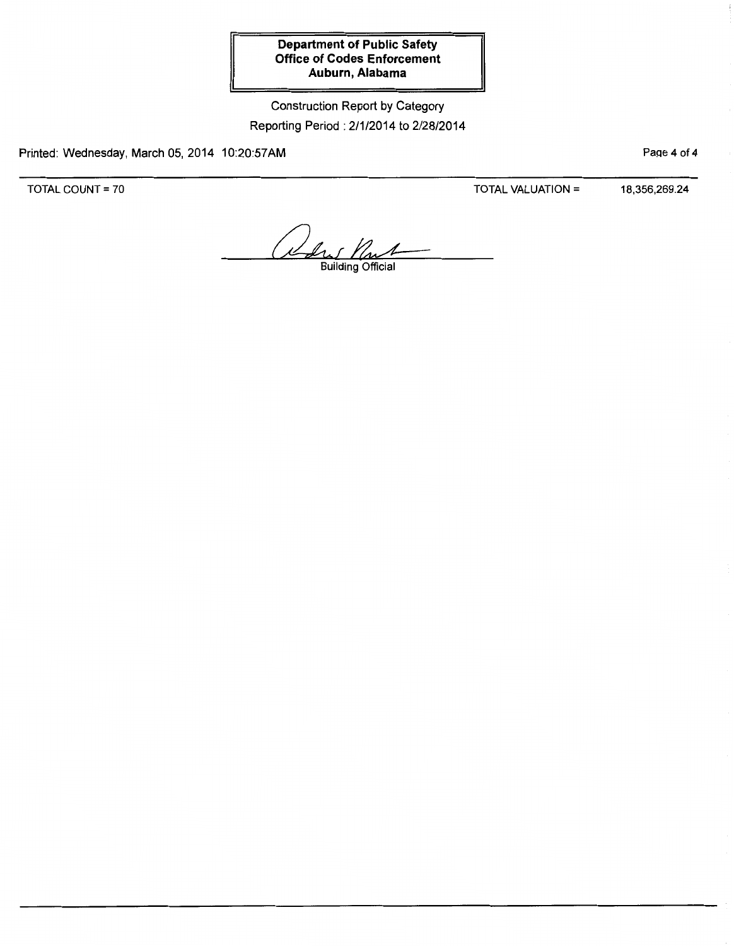Construction Report by Category Reporting Period : 2/1/2014 to 2/28/2014

Printed: Wednesday, March 05, 2014 10:20:57AM

Page 4 of 4

TOTAL COUNT = 70

TOTAL VALUATION = 18,356,269.24

1